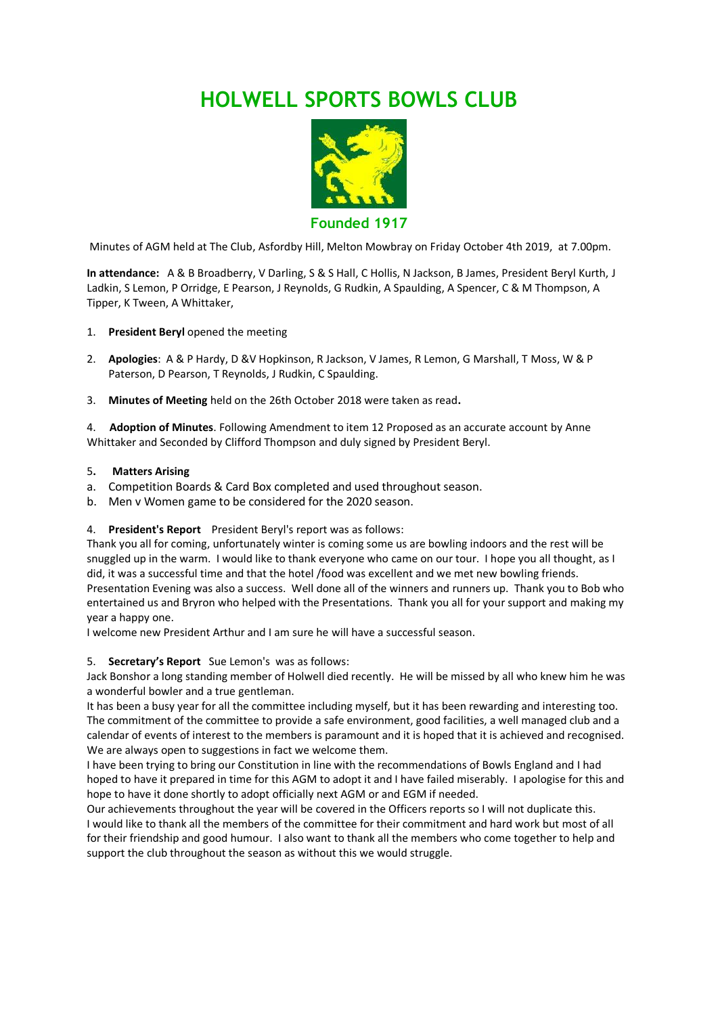# **HOLWELL SPORTS BOWLS CLUB**



**Founded 1917**

Minutes of AGM held at The Club, Asfordby Hill, Melton Mowbray on Friday October 4th 2019, at 7.00pm.

**In attendance:** A & B Broadberry, V Darling, S & S Hall, C Hollis, N Jackson, B James, President Beryl Kurth, J Ladkin, S Lemon, P Orridge, E Pearson, J Reynolds, G Rudkin, A Spaulding, A Spencer, C & M Thompson, A Tipper, K Tween, A Whittaker,

- 1. **President Beryl** opened the meeting
- 2. **Apologies**: A & P Hardy, D &V Hopkinson, R Jackson, V James, R Lemon, G Marshall, T Moss, W & P Paterson, D Pearson, T Reynolds, J Rudkin, C Spaulding.
- 3. **Minutes of Meeting** held on the 26th October 2018 were taken as read**.**

4. **Adoption of Minutes**. Following Amendment to item 12 Proposed as an accurate account by Anne Whittaker and Seconded by Clifford Thompson and duly signed by President Beryl.

- 5**. Matters Arising**
- a. Competition Boards & Card Box completed and used throughout season.
- b. Men v Women game to be considered for the 2020 season.

### 4. **President's Report** President Beryl's report was as follows:

Thank you all for coming, unfortunately winter is coming some us are bowling indoors and the rest will be snuggled up in the warm. I would like to thank everyone who came on our tour. I hope you all thought, as I did, it was a successful time and that the hotel /food was excellent and we met new bowling friends. Presentation Evening was also a success. Well done all of the winners and runners up. Thank you to Bob who entertained us and Bryron who helped with the Presentations. Thank you all for your support and making my year a happy one.

I welcome new President Arthur and I am sure he will have a successful season.

### 5. **Secretary's Report** Sue Lemon's was as follows:

Jack Bonshor a long standing member of Holwell died recently. He will be missed by all who knew him he was a wonderful bowler and a true gentleman.

It has been a busy year for all the committee including myself, but it has been rewarding and interesting too. The commitment of the committee to provide a safe environment, good facilities, a well managed club and a calendar of events of interest to the members is paramount and it is hoped that it is achieved and recognised. We are always open to suggestions in fact we welcome them.

I have been trying to bring our Constitution in line with the recommendations of Bowls England and I had hoped to have it prepared in time for this AGM to adopt it and I have failed miserably. I apologise for this and hope to have it done shortly to adopt officially next AGM or and EGM if needed.

Our achievements throughout the year will be covered in the Officers reports so I will not duplicate this. I would like to thank all the members of the committee for their commitment and hard work but most of all for their friendship and good humour. I also want to thank all the members who come together to help and support the club throughout the season as without this we would struggle.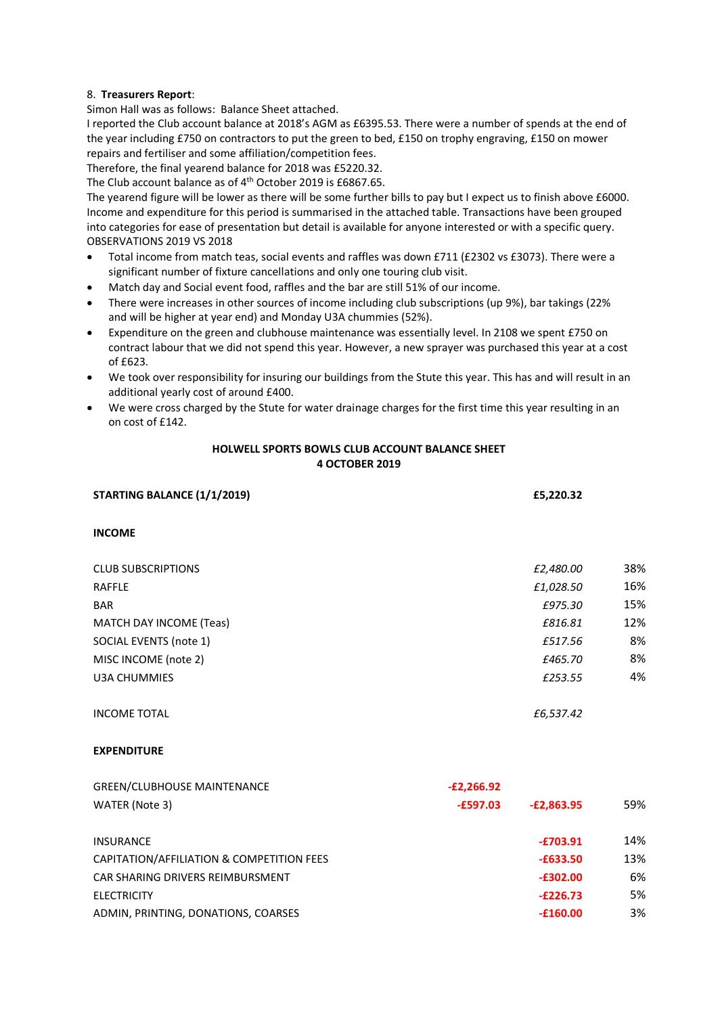# 8. **Treasurers Report**:

Simon Hall was as follows: Balance Sheet attached.

I reported the Club account balance at 2018's AGM as £6395.53. There were a number of spends at the end of the year including £750 on contractors to put the green to bed, £150 on trophy engraving, £150 on mower repairs and fertiliser and some affiliation/competition fees.

Therefore, the final yearend balance for 2018 was £5220.32.

The Club account balance as of 4<sup>th</sup> October 2019 is £6867.65.

The yearend figure will be lower as there will be some further bills to pay but I expect us to finish above £6000. Income and expenditure for this period is summarised in the attached table. Transactions have been grouped into categories for ease of presentation but detail is available for anyone interested or with a specific query. OBSERVATIONS 2019 VS 2018

- Total income from match teas, social events and raffles was down £711 (£2302 vs £3073). There were a significant number of fixture cancellations and only one touring club visit.
- Match day and Social event food, raffles and the bar are still 51% of our income.
- There were increases in other sources of income including club subscriptions (up 9%), bar takings (22% and will be higher at year end) and Monday U3A chummies (52%).
- Expenditure on the green and clubhouse maintenance was essentially level. In 2108 we spent £750 on contract labour that we did not spend this year. However, a new sprayer was purchased this year at a cost of £623.
- We took over responsibility for insuring our buildings from the Stute this year. This has and will result in an additional yearly cost of around £400.
- We were cross charged by the Stute for water drainage charges for the first time this year resulting in an on cost of £142.

## **HOLWELL SPORTS BOWLS CLUB ACCOUNT BALANCE SHEET 4 OCTOBER 2019**

| STARTING BALANCE (1/1/2019)    | £5,220.32 |     |
|--------------------------------|-----------|-----|
| <b>INCOME</b>                  |           |     |
| <b>CLUB SUBSCRIPTIONS</b>      | £2,480.00 | 38% |
| <b>RAFFLE</b>                  | £1,028.50 | 16% |
| <b>BAR</b>                     | £975.30   | 15% |
| <b>MATCH DAY INCOME (Teas)</b> | £816.81   | 12% |
| SOCIAL EVENTS (note 1)         | £517.56   | 8%  |
| MISC INCOME (note 2)           | £465.70   | 8%  |
| <b>U3A CHUMMIES</b>            | £253.55   | 4%  |
| <b>INCOME TOTAL</b>            | £6,537.42 |     |
|                                |           |     |

# **EXPENDITURE**

| <b>GREEN/CLUBHOUSE MAINTENANCE</b>        | $-E2,266.92$ |              |     |
|-------------------------------------------|--------------|--------------|-----|
| WATER (Note 3)                            | $-E597.03$   | $-E2.863.95$ | 59% |
| <b>INSURANCE</b>                          |              | $-£703.91$   | 14% |
| CAPITATION/AFFILIATION & COMPETITION FEES |              | $-£633.50$   | 13% |
| CAR SHARING DRIVERS REIMBURSMENT          |              | $-£302.00$   | 6%  |
| <b>ELECTRICITY</b>                        |              | $-E226.73$   | 5%  |
| ADMIN, PRINTING, DONATIONS, COARSES       |              | $-£160.00$   | 3%  |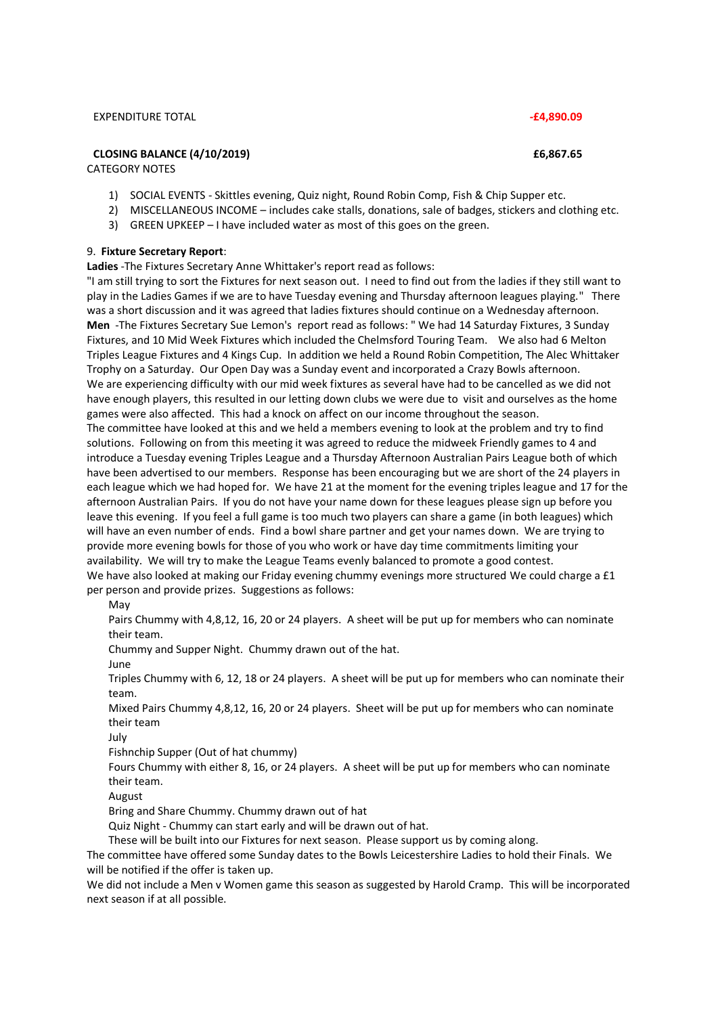#### EXPENDITURE TOTAL **-£4,890.09**

# **CLOSING BALANCE (4/10/2019) £6,867.65**

CATEGORY NOTES

- 1) SOCIAL EVENTS Skittles evening, Quiz night, Round Robin Comp, Fish & Chip Supper etc.
- 2) MISCELLANEOUS INCOME includes cake stalls, donations, sale of badges, stickers and clothing etc.
- 3) GREEN UPKEEP I have included water as most of this goes on the green.

#### 9. **Fixture Secretary Report**:

**Ladies** -The Fixtures Secretary Anne Whittaker's report read as follows:

"I am still trying to sort the Fixtures for next season out. I need to find out from the ladies if they still want to play in the Ladies Games if we are to have Tuesday evening and Thursday afternoon leagues playing." There was a short discussion and it was agreed that ladies fixtures should continue on a Wednesday afternoon. **Men** -The Fixtures Secretary Sue Lemon's report read as follows: " We had 14 Saturday Fixtures, 3 Sunday Fixtures, and 10 Mid Week Fixtures which included the Chelmsford Touring Team. We also had 6 Melton Triples League Fixtures and 4 Kings Cup. In addition we held a Round Robin Competition, The Alec Whittaker Trophy on a Saturday. Our Open Day was a Sunday event and incorporated a Crazy Bowls afternoon. We are experiencing difficulty with our mid week fixtures as several have had to be cancelled as we did not have enough players, this resulted in our letting down clubs we were due to visit and ourselves as the home games were also affected. This had a knock on affect on our income throughout the season. The committee have looked at this and we held a members evening to look at the problem and try to find solutions. Following on from this meeting it was agreed to reduce the midweek Friendly games to 4 and introduce a Tuesday evening Triples League and a Thursday Afternoon Australian Pairs League both of which have been advertised to our members. Response has been encouraging but we are short of the 24 players in each league which we had hoped for. We have 21 at the moment for the evening triples league and 17 for the afternoon Australian Pairs. If you do not have your name down for these leagues please sign up before you leave this evening. If you feel a full game is too much two players can share a game (in both leagues) which will have an even number of ends. Find a bowl share partner and get your names down. We are trying to provide more evening bowls for those of you who work or have day time commitments limiting your

availability. We will try to make the League Teams evenly balanced to promote a good contest. We have also looked at making our Friday evening chummy evenings more structured We could charge a £1 per person and provide prizes. Suggestions as follows:

May

Pairs Chummy with 4,8,12, 16, 20 or 24 players. A sheet will be put up for members who can nominate their team.

Chummy and Supper Night. Chummy drawn out of the hat.

June

Triples Chummy with 6, 12, 18 or 24 players. A sheet will be put up for members who can nominate their team.

Mixed Pairs Chummy 4,8,12, 16, 20 or 24 players. Sheet will be put up for members who can nominate their team

July

Fishnchip Supper (Out of hat chummy)

Fours Chummy with either 8, 16, or 24 players. A sheet will be put up for members who can nominate their team.

August

Bring and Share Chummy. Chummy drawn out of hat

Quiz Night - Chummy can start early and will be drawn out of hat.

These will be built into our Fixtures for next season. Please support us by coming along.

The committee have offered some Sunday dates to the Bowls Leicestershire Ladies to hold their Finals. We will be notified if the offer is taken up.

We did not include a Men v Women game this season as suggested by Harold Cramp. This will be incorporated next season if at all possible.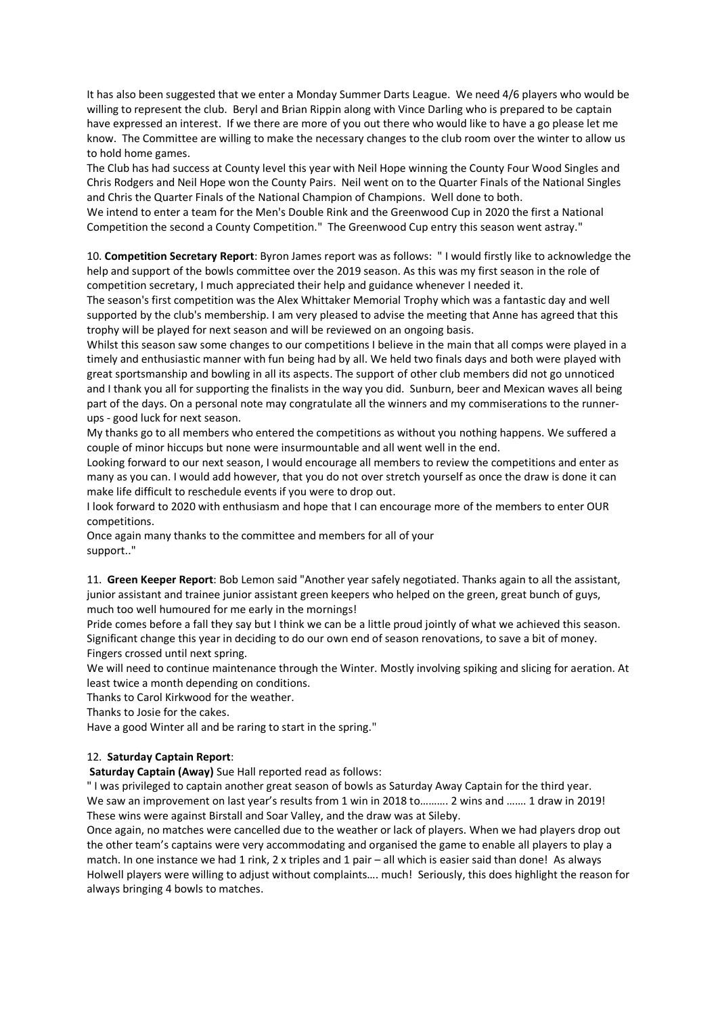It has also been suggested that we enter a Monday Summer Darts League. We need 4/6 players who would be willing to represent the club. Beryl and Brian Rippin along with Vince Darling who is prepared to be captain have expressed an interest. If we there are more of you out there who would like to have a go please let me know. The Committee are willing to make the necessary changes to the club room over the winter to allow us to hold home games.

The Club has had success at County level this year with Neil Hope winning the County Four Wood Singles and Chris Rodgers and Neil Hope won the County Pairs. Neil went on to the Quarter Finals of the National Singles and Chris the Quarter Finals of the National Champion of Champions. Well done to both.

We intend to enter a team for the Men's Double Rink and the Greenwood Cup in 2020 the first a National Competition the second a County Competition." The Greenwood Cup entry this season went astray."

10. **Competition Secretary Report**: Byron James report was as follows: " I would firstly like to acknowledge the help and support of the bowls committee over the 2019 season. As this was my first season in the role of competition secretary, I much appreciated their help and guidance whenever I needed it.

The season's first competition was the Alex Whittaker Memorial Trophy which was a fantastic day and well supported by the club's membership. I am very pleased to advise the meeting that Anne has agreed that this trophy will be played for next season and will be reviewed on an ongoing basis.

Whilst this season saw some changes to our competitions I believe in the main that all comps were played in a timely and enthusiastic manner with fun being had by all. We held two finals days and both were played with great sportsmanship and bowling in all its aspects. The support of other club members did not go unnoticed and I thank you all for supporting the finalists in the way you did. Sunburn, beer and Mexican waves all being part of the days. On a personal note may congratulate all the winners and my commiserations to the runnerups - good luck for next season.

My thanks go to all members who entered the competitions as without you nothing happens. We suffered a couple of minor hiccups but none were insurmountable and all went well in the end.

Looking forward to our next season, I would encourage all members to review the competitions and enter as many as you can. I would add however, that you do not over stretch yourself as once the draw is done it can make life difficult to reschedule events if you were to drop out.

I look forward to 2020 with enthusiasm and hope that I can encourage more of the members to enter OUR competitions.

Once again many thanks to the committee and members for all of your support.."

11. **Green Keeper Report**: Bob Lemon said "Another year safely negotiated. Thanks again to all the assistant, junior assistant and trainee junior assistant green keepers who helped on the green, great bunch of guys, much too well humoured for me early in the mornings!

Pride comes before a fall they say but I think we can be a little proud jointly of what we achieved this season. Significant change this year in deciding to do our own end of season renovations, to save a bit of money. Fingers crossed until next spring.

We will need to continue maintenance through the Winter. Mostly involving spiking and slicing for aeration. At least twice a month depending on conditions.

Thanks to Carol Kirkwood for the weather.

Thanks to Josie for the cakes.

Have a good Winter all and be raring to start in the spring."

### 12. **Saturday Captain Report**:

**Saturday Captain (Away)** Sue Hall reported read as follows:

" I was privileged to captain another great season of bowls as Saturday Away Captain for the third year. We saw an improvement on last year's results from 1 win in 2018 to………. 2 wins and ……. 1 draw in 2019! These wins were against Birstall and Soar Valley, and the draw was at Sileby.

Once again, no matches were cancelled due to the weather or lack of players. When we had players drop out the other team's captains were very accommodating and organised the game to enable all players to play a match. In one instance we had 1 rink, 2 x triples and 1 pair – all which is easier said than done! As always Holwell players were willing to adjust without complaints…. much! Seriously, this does highlight the reason for always bringing 4 bowls to matches.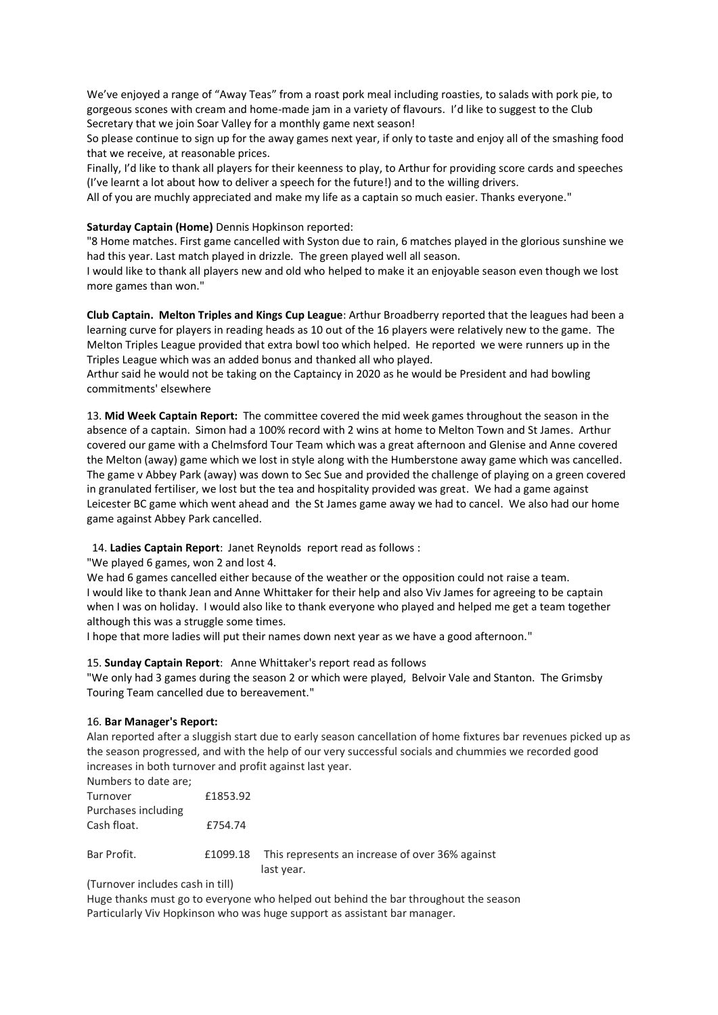We've enjoyed a range of "Away Teas" from a roast pork meal including roasties, to salads with pork pie, to gorgeous scones with cream and home-made jam in a variety of flavours. I'd like to suggest to the Club Secretary that we join Soar Valley for a monthly game next season!

So please continue to sign up for the away games next year, if only to taste and enjoy all of the smashing food that we receive, at reasonable prices.

Finally, I'd like to thank all players for their keenness to play, to Arthur for providing score cards and speeches (I've learnt a lot about how to deliver a speech for the future!) and to the willing drivers.

All of you are muchly appreciated and make my life as a captain so much easier. Thanks everyone."

#### **Saturday Captain (Home)** Dennis Hopkinson reported:

"8 Home matches. First game cancelled with Syston due to rain, 6 matches played in the glorious sunshine we had this year. Last match played in drizzle. The green played well all season.

I would like to thank all players new and old who helped to make it an enjoyable season even though we lost more games than won."

**Club Captain. Melton Triples and Kings Cup League**: Arthur Broadberry reported that the leagues had been a learning curve for players in reading heads as 10 out of the 16 players were relatively new to the game. The Melton Triples League provided that extra bowl too which helped. He reported we were runners up in the Triples League which was an added bonus and thanked all who played.

Arthur said he would not be taking on the Captaincy in 2020 as he would be President and had bowling commitments' elsewhere

13. **Mid Week Captain Report:** The committee covered the mid week games throughout the season in the absence of a captain. Simon had a 100% record with 2 wins at home to Melton Town and St James. Arthur covered our game with a Chelmsford Tour Team which was a great afternoon and Glenise and Anne covered the Melton (away) game which we lost in style along with the Humberstone away game which was cancelled. The game v Abbey Park (away) was down to Sec Sue and provided the challenge of playing on a green covered in granulated fertiliser, we lost but the tea and hospitality provided was great. We had a game against Leicester BC game which went ahead and the St James game away we had to cancel. We also had our home game against Abbey Park cancelled.

14. **Ladies Captain Report**: Janet Reynolds report read as follows :

"We played 6 games, won 2 and lost 4.

We had 6 games cancelled either because of the weather or the opposition could not raise a team. I would like to thank Jean and Anne Whittaker for their help and also Viv James for agreeing to be captain when I was on holiday. I would also like to thank everyone who played and helped me get a team together although this was a struggle some times.

I hope that more ladies will put their names down next year as we have a good afternoon."

#### 15. **Sunday Captain Report**: Anne Whittaker's report read as follows

"We only had 3 games during the season 2 or which were played, Belvoir Vale and Stanton. The Grimsby Touring Team cancelled due to bereavement."

#### 16. **Bar Manager's Report:**

Alan reported after a sluggish start due to early season cancellation of home fixtures bar revenues picked up as the season progressed, and with the help of our very successful socials and chummies we recorded good increases in both turnover and profit against last year.

| Numbers to date are; |          |                                                                        |
|----------------------|----------|------------------------------------------------------------------------|
| Turnover             | £1853.92 |                                                                        |
| Purchases including  |          |                                                                        |
| Cash float.          | £754.74  |                                                                        |
| Bar Profit.          |          | £1099.18 This represents an increase of over 36% against<br>last year. |

(Turnover includes cash in till)

Huge thanks must go to everyone who helped out behind the bar throughout the season Particularly Viv Hopkinson who was huge support as assistant bar manager.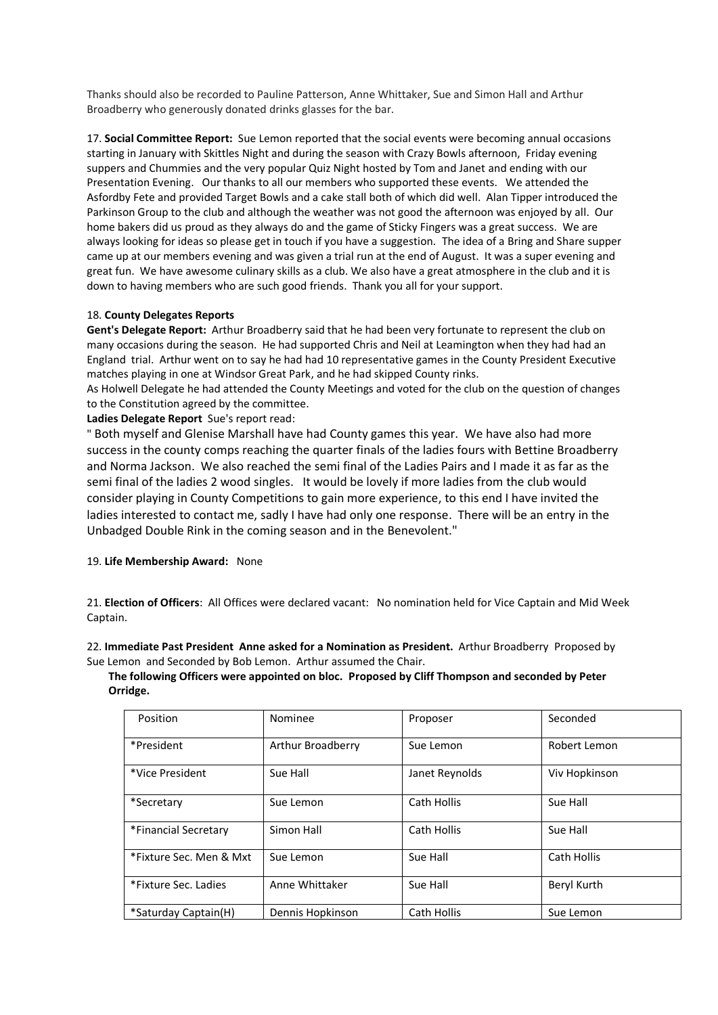Thanks should also be recorded to Pauline Patterson, Anne Whittaker, Sue and Simon Hall and Arthur Broadberry who generously donated drinks glasses for the bar.

17. **Social Committee Report:** Sue Lemon reported that the social events were becoming annual occasions starting in January with Skittles Night and during the season with Crazy Bowls afternoon, Friday evening suppers and Chummies and the very popular Quiz Night hosted by Tom and Janet and ending with our Presentation Evening. Our thanks to all our members who supported these events. We attended the Asfordby Fete and provided Target Bowls and a cake stall both of which did well. Alan Tipper introduced the Parkinson Group to the club and although the weather was not good the afternoon was enjoyed by all. Our home bakers did us proud as they always do and the game of Sticky Fingers was a great success. We are always looking for ideas so please get in touch if you have a suggestion. The idea of a Bring and Share supper came up at our members evening and was given a trial run at the end of August. It was a super evening and great fun. We have awesome culinary skills as a club. We also have a great atmosphere in the club and it is down to having members who are such good friends. Thank you all for your support.

### 18. **County Delegates Reports**

**Gent's Delegate Report:** Arthur Broadberry said that he had been very fortunate to represent the club on many occasions during the season. He had supported Chris and Neil at Leamington when they had had an England trial. Arthur went on to say he had had 10 representative games in the County President Executive matches playing in one at Windsor Great Park, and he had skipped County rinks.

As Holwell Delegate he had attended the County Meetings and voted for the club on the question of changes to the Constitution agreed by the committee.

**Ladies Delegate Report** Sue's report read:

" Both myself and Glenise Marshall have had County games this year. We have also had more success in the county comps reaching the quarter finals of the ladies fours with Bettine Broadberry and Norma Jackson. We also reached the semi final of the Ladies Pairs and I made it as far as the semi final of the ladies 2 wood singles. It would be lovely if more ladies from the club would consider playing in County Competitions to gain more experience, to this end I have invited the ladies interested to contact me, sadly I have had only one response. There will be an entry in the Unbadged Double Rink in the coming season and in the Benevolent."

### 19. **Life Membership Award:** None

21. **Election of Officers**: All Offices were declared vacant: No nomination held for Vice Captain and Mid Week Captain.

22. **Immediate Past President Anne asked for a Nomination as President.** Arthur Broadberry Proposed by Sue Lemon and Seconded by Bob Lemon. Arthur assumed the Chair.

**The following Officers were appointed on bloc. Proposed by Cliff Thompson and seconded by Peter Orridge.**

| Position                | Nominee           | Proposer           | Seconded           |
|-------------------------|-------------------|--------------------|--------------------|
| *President              | Arthur Broadberry | Sue Lemon          | Robert Lemon       |
| *Vice President         | Sue Hall          | Janet Reynolds     | Viv Hopkinson      |
| *Secretary              | Sue Lemon         | Cath Hollis        | Sue Hall           |
| *Financial Secretary    | Simon Hall        | Cath Hollis        | Sue Hall           |
| *Fixture Sec. Men & Mxt | Sue Lemon         | Sue Hall           | <b>Cath Hollis</b> |
| *Fixture Sec. Ladies    | Anne Whittaker    | Sue Hall           | Beryl Kurth        |
| *Saturday Captain(H)    | Dennis Hopkinson  | <b>Cath Hollis</b> | Sue Lemon          |